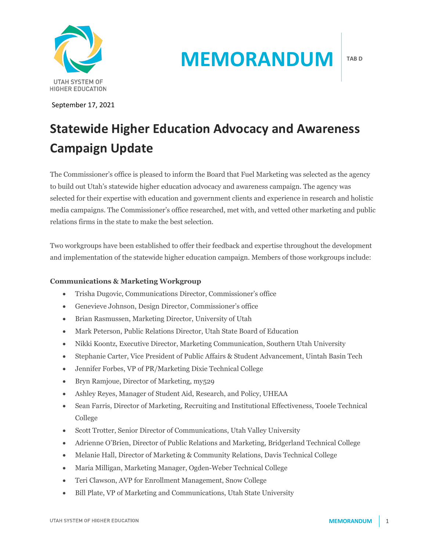

September 17, 2021

# **MEMORANDUM**

## **Statewide Higher Education Advocacy and Awareness Campaign Update**

The Commissioner's office is pleased to inform the Board that Fuel Marketing was selected as the agency to build out Utah's statewide higher education advocacy and awareness campaign. The agency was selected for their expertise with education and government clients and experience in research and holistic media campaigns. The Commissioner's office researched, met with, and vetted other marketing and public relations firms in the state to make the best selection.

Two workgroups have been established to offer their feedback and expertise throughout the development and implementation of the statewide higher education campaign. Members of those workgroups include:

### **Communications & Marketing Workgroup**

- Trisha Dugovic, Communications Director, Commissioner's office
- Genevieve Johnson, Design Director, Commissioner's office
- Brian Rasmussen, Marketing Director, University of Utah
- Mark Peterson, Public Relations Director, Utah State Board of Education
- Nikki Koontz, Executive Director, Marketing Communication, Southern Utah University
- Stephanie Carter, Vice President of Public Affairs & Student Advancement, Uintah Basin Tech
- Jennifer Forbes, VP of PR/Marketing Dixie Technical College
- Bryn Ramjoue, Director of Marketing, my529
- Ashley Reyes, Manager of Student Aid, Research, and Policy, UHEAA
- Sean Farris, Director of Marketing, Recruiting and Institutional Effectiveness, Tooele Technical College
- Scott Trotter, Senior Director of Communications, Utah Valley University
- Adrienne O'Brien, Director of Public Relations and Marketing, Bridgerland Technical College
- Melanie Hall, Director of Marketing & Community Relations, Davis Technical College
- Maria Milligan, Marketing Manager, Ogden-Weber Technical College
- Teri Clawson, AVP for Enrollment Management, Snow College
- Bill Plate, VP of Marketing and Communications, Utah State University